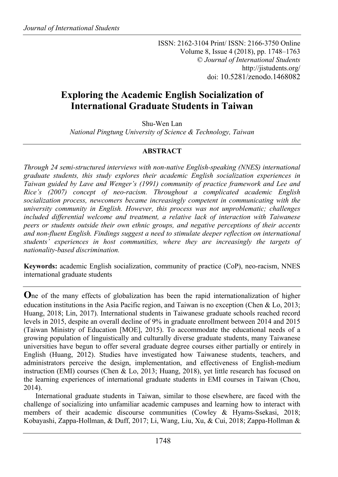ISSN: 2162-3104 Print/ ISSN: 2166-3750 Online Volume 8, Issue 4 (2018), pp. 1748–1763 © *Journal of International Students* http://jistudents.org/ doi: 10.5281/zenodo.1468082

# **Exploring the Academic English Socialization of International Graduate Students in Taiwan**

Shu-Wen Lan

*National Pingtung University of Science & Technology, Taiwan*

# **ABSTRACT**

*Through 24 semi-structured interviews with non-native English-speaking (NNES) international graduate students, this study explores their academic English socialization experiences in Taiwan guided by Lave and Wenger's (1991) community of practice framework and Lee and Rice's (2007) concept of neo-racism. Throughout a complicated academic English socialization process, newcomers became increasingly competent in communicating with the university community in English. However, this process was not unproblematic; challenges included differential welcome and treatment, a relative lack of interaction with Taiwanese peers or students outside their own ethnic groups, and negative perceptions of their accents and non-fluent English. Findings suggest a need to stimulate deeper reflection on international students' experiences in host communities, where they are increasingly the targets of nationality-based discrimination.*

**Keywords:** academic English socialization, community of practice (CoP), neo-racism, NNES international graduate students

**O**ne of the many effects of globalization has been the rapid internationalization of higher education institutions in the Asia Pacific region, and Taiwan is no exception (Chen & Lo, 2013; Huang, 2018; Lin, 2017). International students in Taiwanese graduate schools reached record levels in 2015, despite an overall decline of 9% in graduate enrollment between 2014 and 2015 (Taiwan Ministry of Education [MOE], 2015). To accommodate the educational needs of a growing population of linguistically and culturally diverse graduate students, many Taiwanese universities have begun to offer several graduate degree courses either partially or entirely in English (Huang, 2012). Studies have investigated how Taiwanese students, teachers, and administrators perceive the design, implementation, and effectiveness of English-medium instruction (EMI) courses (Chen & Lo, 2013; Huang, 2018), yet little research has focused on the learning experiences of international graduate students in EMI courses in Taiwan (Chou, 2014).

International graduate students in Taiwan, similar to those elsewhere, are faced with the challenge of socializing into unfamiliar academic campuses and learning how to interact with members of their academic discourse communities (Cowley & Hyams-Ssekasi, 2018; Kobayashi, Zappa-Hollman, & Duff, 2017; Li, Wang, Liu, Xu, & Cui, 2018; Zappa-Hollman &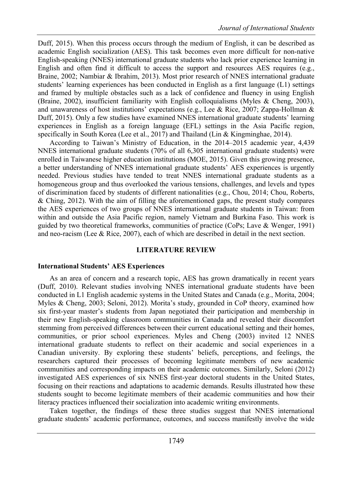Duff, 2015). When this process occurs through the medium of English, it can be described as academic English socialization (AES). This task becomes even more difficult for non-native English-speaking (NNES) international graduate students who lack prior experience learning in English and often find it difficult to access the support and resources AES requires (e.g., Braine, 2002; Nambiar & Ibrahim, 2013). Most prior research of NNES international graduate students' learning experiences has been conducted in English as a first language (L1) settings and framed by multiple obstacles such as a lack of confidence and fluency in using English (Braine, 2002), insufficient familiarity with English colloquialisms (Myles & Cheng, 2003), and unawareness of host institutions' expectations (e.g., Lee & Rice, 2007; Zappa-Hollman & Duff, 2015). Only a few studies have examined NNES international graduate students' learning experiences in English as a foreign language (EFL) settings in the Asia Pacific region, specifically in South Korea (Lee et al., 2017) and Thailand (Lin & Kingminghae, 2014).

According to Taiwan's Ministry of Education, in the 2014–2015 academic year, 4,439 NNES international graduate students (70% of all 6,305 international graduate students) were enrolled in Taiwanese higher education institutions (MOE, 2015). Given this growing presence, a better understanding of NNES international graduate students' AES experiences is urgently needed. Previous studies have tended to treat NNES international graduate students as a homogeneous group and thus overlooked the various tensions, challenges, and levels and types of discrimination faced by students of different nationalities (e.g., Chou, 2014; Chou, Roberts, & Ching, 2012). With the aim of filling the aforementioned gaps, the present study compares the AES experiences of two groups of NNES international graduate students in Taiwan: from within and outside the Asia Pacific region, namely Vietnam and Burkina Faso. This work is guided by two theoretical frameworks, communities of practice (CoPs; Lave & Wenger, 1991) and neo-racism (Lee & Rice, 2007), each of which are described in detail in the next section.

### **LITERATURE REVIEW**

### **International Students' AES Experiences**

As an area of concern and a research topic, AES has grown dramatically in recent years (Duff, 2010). Relevant studies involving NNES international graduate students have been conducted in L1 English academic systems in the United States and Canada (e.g., Morita, 2004; Myles & Cheng, 2003; Seloni, 2012). Morita's study, grounded in CoP theory, examined how six first-year master's students from Japan negotiated their participation and membership in their new English-speaking classroom communities in Canada and revealed their discomfort stemming from perceived differences between their current educational setting and their homes, communities, or prior school experiences. Myles and Cheng (2003) invited 12 NNES international graduate students to reflect on their academic and social experiences in a Canadian university. By exploring these students' beliefs, perceptions, and feelings, the researchers captured their processes of becoming legitimate members of new academic communities and corresponding impacts on their academic outcomes. Similarly, Seloni (2012) investigated AES experiences of six NNES first-year doctoral students in the United States, focusing on their reactions and adaptations to academic demands. Results illustrated how these students sought to become legitimate members of their academic communities and how their literacy practices influenced their socialization into academic writing environments.

Taken together, the findings of these three studies suggest that NNES international graduate students' academic performance, outcomes, and success manifestly involve the wide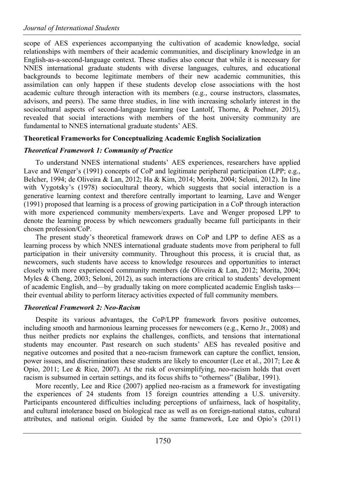scope of AES experiences accompanying the cultivation of academic knowledge, social relationships with members of their academic communities, and disciplinary knowledge in an English-as-a-second-language context. These studies also concur that while it is necessary for NNES international graduate students with diverse languages, cultures, and educational backgrounds to become legitimate members of their new academic communities, this assimilation can only happen if these students develop close associations with the host academic culture through interaction with its members (e.g., course instructors, classmates, advisors, and peers). The same three studies, in line with increasing scholarly interest in the sociocultural aspects of second-language learning (see Lantolf, Thorne, & Poehner, 2015), revealed that social interactions with members of the host university community are fundamental to NNES international graduate students' AES.

# **Theoretical Frameworks for Conceptualizing Academic English Socialization**

# *Theoretical Framework 1: Community of Practice*

To understand NNES international students' AES experiences, researchers have applied Lave and Wenger's (1991) concepts of CoP and legitimate peripheral participation (LPP; e.g., Belcher, 1994; de Oliveira & Lan, 2012; Ha & Kim, 2014; Morita, 2004; Seloni, 2012). In line with Vygotsky's (1978) sociocultural theory, which suggests that social interaction is a generative learning context and therefore centrally important to learning, Lave and Wenger (1991) proposed that learning is a process of growing participation in a CoP through interaction with more experienced community members/experts. Lave and Wenger proposed LPP to denote the learning process by which newcomers gradually became full participants in their chosen profession/CoP.

The present study's theoretical framework draws on CoP and LPP to define AES as a learning process by which NNES international graduate students move from peripheral to full participation in their university community. Throughout this process, it is crucial that, as newcomers, such students have access to knowledge resources and opportunities to interact closely with more experienced community members (de Oliveira & Lan, 2012; Morita, 2004; Myles & Cheng, 2003; Seloni, 2012), as such interactions are critical to students' development of academic English, and—by gradually taking on more complicated academic English tasks their eventual ability to perform literacy activities expected of full community members.

# *Theoretical Framework 2: Neo-Racism*

Despite its various advantages, the CoP/LPP framework favors positive outcomes, including smooth and harmonious learning processes for newcomers (e.g., Kerno Jr., 2008) and thus neither predicts nor explains the challenges, conflicts, and tensions that international students may encounter. Past research on such students' AES has revealed positive and negative outcomes and posited that a neo-racism framework can capture the conflict, tension, power issues, and discrimination these students are likely to encounter (Lee et al., 2017; Lee & Opio, 2011; Lee & Rice, 2007). At the risk of oversimplifying, neo-racism holds that overt racism is subsumed in certain settings, and its focus shifts to "otherness" (Balibar, 1991).

More recently, Lee and Rice (2007) applied neo-racism as a framework for investigating the experiences of 24 students from 15 foreign countries attending a U.S. university. Participants encountered difficulties including perceptions of unfairness, lack of hospitality, and cultural intolerance based on biological race as well as on foreign-national status, cultural attributes, and national origin. Guided by the same framework, Lee and Opio's (2011)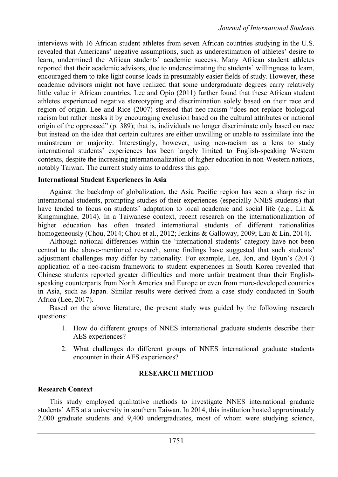interviews with 16 African student athletes from seven African countries studying in the U.S. revealed that Americans' negative assumptions, such as underestimation of athletes' desire to learn, undermined the African students' academic success. Many African student athletes reported that their academic advisors, due to underestimating the students' willingness to learn, encouraged them to take light course loads in presumably easier fields of study. However, these academic advisors might not have realized that some undergraduate degrees carry relatively little value in African countries. Lee and Opio (2011) further found that these African student athletes experienced negative stereotyping and discrimination solely based on their race and region of origin. Lee and Rice (2007) stressed that neo-racism "does not replace biological racism but rather masks it by encouraging exclusion based on the cultural attributes or national origin of the oppressed" (p. 389); that is, individuals no longer discriminate only based on race but instead on the idea that certain cultures are either unwilling or unable to assimilate into the mainstream or majority. Interestingly, however, using neo-racism as a lens to study international students' experiences has been largely limited to English-speaking Western contexts, despite the increasing internationalization of higher education in non-Western nations, notably Taiwan. The current study aims to address this gap.

#### **International Student Experiences in Asia**

Against the backdrop of globalization, the Asia Pacific region has seen a sharp rise in international students, prompting studies of their experiences (especially NNES students) that have tended to focus on students' adaptation to local academic and social life (e.g., Lin & Kingminghae, 2014). In a Taiwanese context, recent research on the internationalization of higher education has often treated international students of different nationalities homogeneously (Chou, 2014; Chou et al., 2012; Jenkins & Galloway, 2009; Lau & Lin, 2014).

Although national differences within the 'international students' category have not been central to the above-mentioned research, some findings have suggested that such students' adjustment challenges may differ by nationality. For example, Lee, Jon, and Byun's (2017) application of a neo-racism framework to student experiences in South Korea revealed that Chinese students reported greater difficulties and more unfair treatment than their Englishspeaking counterparts from North America and Europe or even from more-developed countries in Asia, such as Japan. Similar results were derived from a case study conducted in South Africa (Lee, 2017).

Based on the above literature, the present study was guided by the following research questions:

- 1. How do different groups of NNES international graduate students describe their AES experiences?
- 2. What challenges do different groups of NNES international graduate students encounter in their AES experiences?

### **RESEARCH METHOD**

### **Research Context**

This study employed qualitative methods to investigate NNES international graduate students' AES at a university in southern Taiwan. In 2014, this institution hosted approximately 2,000 graduate students and 9,400 undergraduates, most of whom were studying science,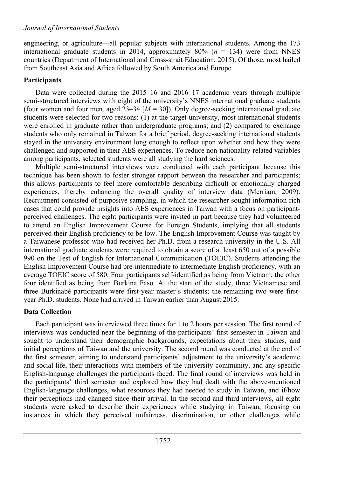engineering, or agriculture—all popular subjects with international students. Among the 173 international graduate students in 2014, approximately 80%  $(n = 134)$  were from NNES countries (Department of International and Cross-strait Education, 2015). Of those, most hailed from Southeast Asia and Africa followed by South America and Europe.

# **Participants**

Data were collected during the 2015–16 and 2016–17 academic years through multiple semi-structured interviews with eight of the university's NNES international graduate students (four women and four men, aged  $23-34$   $[M = 30]$ ). Only degree-seeking international graduate students were selected for two reasons: (1) at the target university, most international students were enrolled in graduate rather than undergraduate programs; and (2) compared to exchange students who only remained in Taiwan for a brief period, degree-seeking international students stayed in the university environment long enough to reflect upon whether and how they were challenged and supported in their AES experiences. To reduce non-nationality-related variables among participants, selected students were all studying the hard sciences.

Multiple semi-structured interviews were conducted with each participant because this technique has been shown to foster stronger rapport between the researcher and participants; this allows participants to feel more comfortable describing difficult or emotionally charged experiences, thereby enhancing the overall quality of interview data (Merriam, 2009). Recruitment consisted of purposive sampling, in which the researcher sought information-rich cases that could provide insights into AES experiences in Taiwan with a focus on participantperceived challenges. The eight participants were invited in part because they had volunteered to attend an English Improvement Course for Foreign Students, implying that all students perceived their English proficiency to be low. The English Improvement Course was taught by a Taiwanese professor who had received her Ph.D. from a research university in the U.S. All international graduate students were required to obtain a score of at least 650 out of a possible 990 on the Test of English for International Communication (TOEIC). Students attending the English Improvement Course had pre-intermediate to intermediate English proficiency, with an average TOEIC score of 580. Four participants self-identified as being from Vietnam; the other four identified as being from Burkina Faso. At the start of the study, three Vietnamese and three Burkinabé participants were first-year master's students; the remaining two were firstyear Ph.D. students. None had arrived in Taiwan earlier than August 2015.

# **Data Collection**

Each participant was interviewed three times for 1 to 2 hours per session. The first round of interviews was conducted near the beginning of the participants' first semester in Taiwan and sought to understand their demographic backgrounds, expectations about their studies, and initial perceptions of Taiwan and the university. The second round was conducted at the end of the first semester, aiming to understand participants' adjustment to the university's academic and social life, their interactions with members of the university community, and any specific English-language challenges the participants faced. The final round of interviews was held in the participants' third semester and explored how they had dealt with the above-mentioned English-language challenges, what resources they had needed to study in Taiwan, and if/how their perceptions had changed since their arrival. In the second and third interviews, all eight students were asked to describe their experiences while studying in Taiwan, focusing on instances in which they perceived unfairness, discrimination, or other challenges while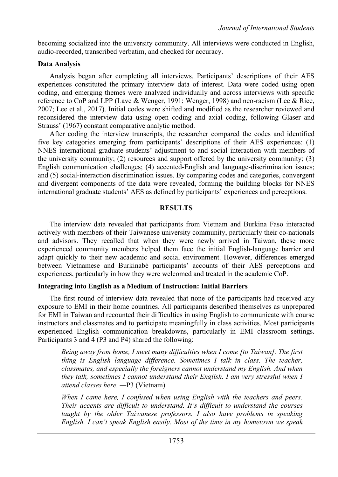becoming socialized into the university community. All interviews were conducted in English, audio-recorded, transcribed verbatim, and checked for accuracy.

# **Data Analysis**

Analysis began after completing all interviews. Participants' descriptions of their AES experiences constituted the primary interview data of interest. Data were coded using open coding, and emerging themes were analyzed individually and across interviews with specific reference to CoP and LPP (Lave & Wenger, 1991; Wenger, 1998) and neo-racism (Lee & Rice, 2007; Lee et al., 2017). Initial codes were shifted and modified as the researcher reviewed and reconsidered the interview data using open coding and axial coding, following Glaser and Strauss' (1967) constant comparative analytic method.

After coding the interview transcripts, the researcher compared the codes and identified five key categories emerging from participants' descriptions of their AES experiences: (1) NNES international graduate students' adjustment to and social interaction with members of the university community; (2) resources and support offered by the university community; (3) English communication challenges; (4) accented-English and language-discrimination issues; and (5) social-interaction discrimination issues. By comparing codes and categories, convergent and divergent components of the data were revealed, forming the building blocks for NNES international graduate students' AES as defined by participants' experiences and perceptions.

# **RESULTS**

The interview data revealed that participants from Vietnam and Burkina Faso interacted actively with members of their Taiwanese university community, particularly their co-nationals and advisors. They recalled that when they were newly arrived in Taiwan, these more experienced community members helped them face the initial English-language barrier and adapt quickly to their new academic and social environment. However, differences emerged between Vietnamese and Burkinabé participants' accounts of their AES perceptions and experiences, particularly in how they were welcomed and treated in the academic CoP.

# **Integrating into English as a Medium of Instruction: Initial Barriers**

The first round of interview data revealed that none of the participants had received any exposure to EMI in their home countries. All participants described themselves as unprepared for EMI in Taiwan and recounted their difficulties in using English to communicate with course instructors and classmates and to participate meaningfully in class activities. Most participants experienced English communication breakdowns, particularly in EMI classroom settings. Participants 3 and 4 (P3 and P4) shared the following:

*Being away from home, I meet many difficulties when I come [to Taiwan]. The first thing is English language difference. Sometimes I talk in class. The teacher, classmates, and especially the foreigners cannot understand my English. And when they talk, sometimes I cannot understand their English. I am very stressful when I attend classes here. —*P3 (Vietnam)

*When I came here, I confused when using English with the teachers and peers. Their accents are difficult to understand. It's difficult to understand the courses taught by the older Taiwanese professors. I also have problems in speaking English. I can't speak English easily. Most of the time in my hometown we speak*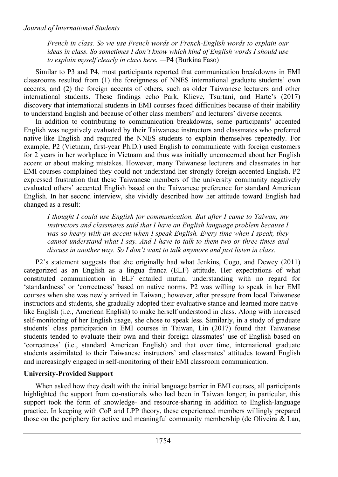*French in class. So we use French words or French-English words to explain our ideas in class. So sometimes I don't know which kind of English words I should use to explain myself clearly in class here. —*P4 (Burkina Faso)

Similar to P3 and P4, most participants reported that communication breakdowns in EMI classrooms resulted from (1) the foreignness of NNES international graduate students' own accents, and (2) the foreign accents of others, such as older Taiwanese lecturers and other international students. These findings echo Park, Klieve, Tsurtani, and Harte's (2017) discovery that international students in EMI courses faced difficulties because of their inability to understand English and because of other class members' and lecturers' diverse accents.

In addition to contributing to communication breakdowns, some participants' accented English was negatively evaluated by their Taiwanese instructors and classmates who preferred native-like English and required the NNES students to explain themselves repeatedly. For example, P2 (Vietnam, first-year Ph.D.) used English to communicate with foreign customers for 2 years in her workplace in Vietnam and thus was initially unconcerned about her English accent or about making mistakes. However, many Taiwanese lecturers and classmates in her EMI courses complained they could not understand her strongly foreign-accented English. P2 expressed frustration that these Taiwanese members of the university community negatively evaluated others' accented English based on the Taiwanese preference for standard American English. In her second interview, she vividly described how her attitude toward English had changed as a result:

*I thought I could use English for communication. But after I came to Taiwan, my instructors and classmates said that I have an English language problem because I*  was so heavy with an accent when I speak English. Every time when I speak, they *cannot understand what I say. And I have to talk to them two or three times and discuss in another way. So I don't want to talk anymore and just listen in class.*

P2's statement suggests that she originally had what Jenkins, Cogo, and Dewey (2011) categorized as an English as a lingua franca (ELF) attitude. Her expectations of what constituted communication in ELF entailed mutual understanding with no regard for 'standardness' or 'correctness' based on native norms. P2 was willing to speak in her EMI courses when she was newly arrived in Taiwan,; however, after pressure from local Taiwanese instructors and students, she gradually adopted their evaluative stance and learned more nativelike English (i.e., American English) to make herself understood in class. Along with increased self-monitoring of her English usage, she chose to speak less. Similarly, in a study of graduate students' class participation in EMI courses in Taiwan, Lin (2017) found that Taiwanese students tended to evaluate their own and their foreign classmates' use of English based on 'correctness' (i.e., standard American English) and that over time, international graduate students assimilated to their Taiwanese instructors' and classmates' attitudes toward English and increasingly engaged in self-monitoring of their EMI classroom communication.

# **University-Provided Support**

When asked how they dealt with the initial language barrier in EMI courses, all participants highlighted the support from co-nationals who had been in Taiwan longer; in particular, this support took the form of knowledge- and resource-sharing in addition to English-language practice. In keeping with CoP and LPP theory, these experienced members willingly prepared those on the periphery for active and meaningful community membership (de Oliveira & Lan,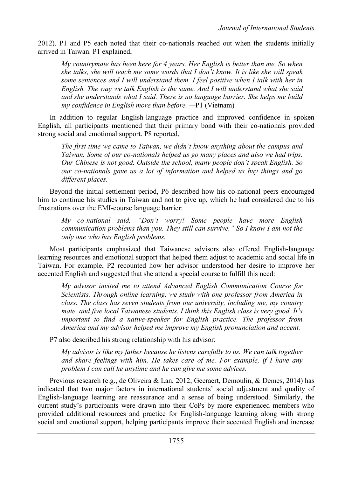2012). P1 and P5 each noted that their co-nationals reached out when the students initially arrived in Taiwan. P1 explained,

*My countrymate has been here for 4 years. Her English is better than me. So when she talks, she will teach me some words that I don't know. It is like she will speak some sentences and I will understand them. I feel positive when I talk with her in English. The way we talk English is the same. And I will understand what she said and she understands what I said. There is no language barrier. She helps me build my confidence in English more than before. —*P1 (Vietnam)

In addition to regular English-language practice and improved confidence in spoken English, all participants mentioned that their primary bond with their co-nationals provided strong social and emotional support. P8 reported,

*The first time we came to Taiwan, we didn't know anything about the campus and Taiwan. Some of our co-nationals helped us go many places and also we had trips. Our Chinese is not good. Outside the school, many people don't speak English. So our co-nationals gave us a lot of information and helped us buy things and go different places.* 

Beyond the initial settlement period, P6 described how his co-national peers encouraged him to continue his studies in Taiwan and not to give up, which he had considered due to his frustrations over the EMI-course language barrier:

*My co-national said, "Don't worry! Some people have more English communication problems than you. They still can survive." So I know I am not the only one who has English problems.*

Most participants emphasized that Taiwanese advisors also offered English-language learning resources and emotional support that helped them adjust to academic and social life in Taiwan. For example, P2 recounted how her advisor understood her desire to improve her accented English and suggested that she attend a special course to fulfill this need:

*My advisor invited me to attend Advanced English Communication Course for Scientists. Through online learning, we study with one professor from America in class. The class has seven students from our university, including me, my country mate, and five local Taiwanese students. I think this English class is very good. It's important to find a native-speaker for English practice. The professor from America and my advisor helped me improve my English pronunciation and accent.*

P7 also described his strong relationship with his advisor:

*My advisor is like my father because he listens carefully to us. We can talk together and share feelings with him. He takes care of me. For example, if I have any problem I can call he anytime and he can give me some advices.*

Previous research (e.g., de Oliveira & Lan, 2012; Geeraert, Demoulin, & Demes, 2014) has indicated that two major factors in international students' social adjustment and quality of English-language learning are reassurance and a sense of being understood. Similarly, the current study's participants were drawn into their CoPs by more experienced members who provided additional resources and practice for English-language learning along with strong social and emotional support, helping participants improve their accented English and increase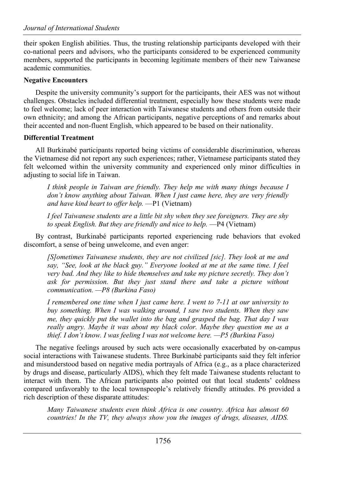their spoken English abilities. Thus, the trusting relationship participants developed with their co-national peers and advisors, who the participants considered to be experienced community members, supported the participants in becoming legitimate members of their new Taiwanese academic communities.

# **Negative Encounters**

Despite the university community's support for the participants, their AES was not without challenges. Obstacles included differential treatment, especially how these students were made to feel welcome; lack of peer interaction with Taiwanese students and others from outside their own ethnicity; and among the African participants, negative perceptions of and remarks about their accented and non-fluent English, which appeared to be based on their nationality.

# **Differential Treatment**

All Burkinabé participants reported being victims of considerable discrimination, whereas the Vietnamese did not report any such experiences; rather, Vietnamese participants stated they felt welcomed within the university community and experienced only minor difficulties in adjusting to social life in Taiwan.

*I think people in Taiwan are friendly. They help me with many things because I don't know anything about Taiwan. When I just came here, they are very friendly and have kind heart to offer help.* —P1 (Vietnam)

*I feel Taiwanese students are a little bit shy when they see foreigners. They are shy to speak English. But they are friendly and nice to help.* —P4 (Vietnam)

By contrast, Burkinabé participants reported experiencing rude behaviors that evoked discomfort, a sense of being unwelcome, and even anger:

*[S]ometimes Taiwanese students, they are not civilized [sic]. They look at me and say, "See, look at the black guy." Everyone looked at me at the same time. I feel very bad. And they like to hide themselves and take my picture secretly. They don't ask for permission. But they just stand there and take a picture without communication. —P8 (Burkina Faso)*

*I remembered one time when I just came here. I went to 7-11 at our university to buy something. When I was walking around, I saw two students. When they saw me, they quickly put the wallet into the bag and grasped the bag. That day I was really angry. Maybe it was about my black color. Maybe they question me as a thief. I don't know. I was feeling I was not welcome here. —P5 (Burkina Faso)*

The negative feelings aroused by such acts were occasionally exacerbated by on-campus social interactions with Taiwanese students. Three Burkinabé participants said they felt inferior and misunderstood based on negative media portrayals of Africa (e.g., as a place characterized by drugs and disease, particularly AIDS), which they felt made Taiwanese students reluctant to interact with them. The African participants also pointed out that local students' coldness compared unfavorably to the local townspeople's relatively friendly attitudes. P6 provided a rich description of these disparate attitudes:

*Many Taiwanese students even think Africa is one country. Africa has almost 60 countries! In the TV, they always show you the images of drugs, diseases, AIDS.*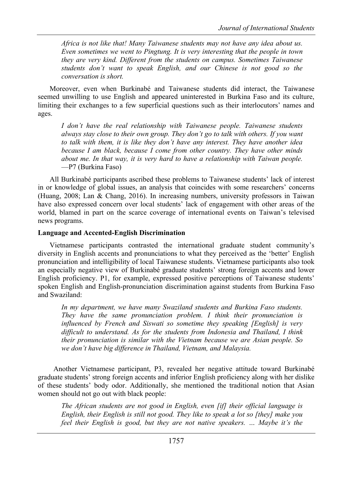*Africa is not like that! Many Taiwanese students may not have any idea about us. Even sometimes we went to Pingtung. It is very interesting that the people in town they are very kind. Different from the students on campus. Sometimes Taiwanese students don't want to speak English, and our Chinese is not good so the conversation is short.*

Moreover, even when Burkinabé and Taiwanese students did interact, the Taiwanese seemed unwilling to use English and appeared uninterested in Burkina Faso and its culture, limiting their exchanges to a few superficial questions such as their interlocutors' names and ages.

*I don't have the real relationship with Taiwanese people. Taiwanese students always stay close to their own group. They don't go to talk with others. If you want to talk with them, it is like they don't have any interest. They have another idea because I am black, because I come from other country. They have other minds about me. In that way, it is very hard to have a relationship with Taiwan people.*  —P7 (Burkina Faso)

All Burkinabé participants ascribed these problems to Taiwanese students' lack of interest in or knowledge of global issues, an analysis that coincides with some researchers' concerns (Huang, 2008; Lan & Chang, 2016). In increasing numbers, university professors in Taiwan have also expressed concern over local students' lack of engagement with other areas of the world, blamed in part on the scarce coverage of international events on Taiwan's televised news programs.

### **Language and Accented-English Discrimination**

Vietnamese participants contrasted the international graduate student community's diversity in English accents and pronunciations to what they perceived as the 'better' English pronunciation and intelligibility of local Taiwanese students. Vietnamese participants also took an especially negative view of Burkinabé graduate students' strong foreign accents and lower English proficiency. P1, for example, expressed positive perceptions of Taiwanese students' spoken English and English-pronunciation discrimination against students from Burkina Faso and Swaziland:

*In my department, we have many Swaziland students and Burkina Faso students. They have the same pronunciation problem. I think their pronunciation is influenced by French and Siswati so sometime they speaking [English] is very difficult to understand. As for the students from Indonesia and Thailand, I think their pronunciation is similar with the Vietnam because we are Asian people. So we don't have big difference in Thailand, Vietnam, and Malaysia.*

Another Vietnamese participant, P3, revealed her negative attitude toward Burkinabé graduate students' strong foreign accents and inferior English proficiency along with her dislike of these students' body odor. Additionally, she mentioned the traditional notion that Asian women should not go out with black people:

*The African students are not good in English, even [if] their official language is English, their English is still not good. They like to speak a lot so [they] make you feel their English is good, but they are not native speakers. … Maybe it's the*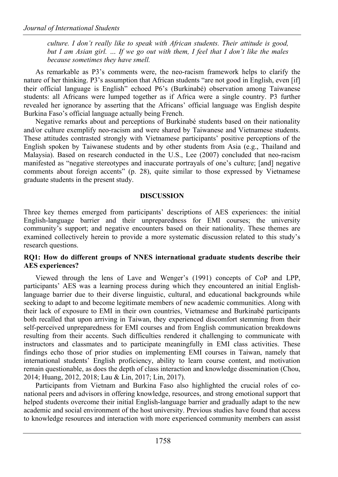*culture. I don't really like to speak with African students. Their attitude is good, but I am Asian girl. … If we go out with them, I feel that I don't like the males because sometimes they have smell.*

As remarkable as P3's comments were, the neo-racism framework helps to clarify the nature of her thinking. P3's assumption that African students "are not good in English, even [if] their official language is English" echoed P6's (Burkinabé) observation among Taiwanese students: all Africans were lumped together as if Africa were a single country. P3 further revealed her ignorance by asserting that the Africans' official language was English despite Burkina Faso's official language actually being French.

Negative remarks about and perceptions of Burkinabé students based on their nationality and/or culture exemplify neo-racism and were shared by Taiwanese and Vietnamese students. These attitudes contrasted strongly with Vietnamese participants' positive perceptions of the English spoken by Taiwanese students and by other students from Asia (e.g., Thailand and Malaysia). Based on research conducted in the U.S., Lee (2007) concluded that neo-racism manifested as "negative stereotypes and inaccurate portrayals of one's culture; [and] negative comments about foreign accents" (p. 28), quite similar to those expressed by Vietnamese graduate students in the present study.

# **DISCUSSION**

Three key themes emerged from participants' descriptions of AES experiences: the initial English-language barrier and their unpreparedness for EMI courses; the university community's support; and negative encounters based on their nationality. These themes are examined collectively herein to provide a more systematic discussion related to this study's research questions.

### **RQ1: How do different groups of NNES international graduate students describe their AES experiences?**

Viewed through the lens of Lave and Wenger's (1991) concepts of CoP and LPP, participants' AES was a learning process during which they encountered an initial Englishlanguage barrier due to their diverse linguistic, cultural, and educational backgrounds while seeking to adapt to and become legitimate members of new academic communities. Along with their lack of exposure to EMI in their own countries, Vietnamese and Burkinabé participants both recalled that upon arriving in Taiwan, they experienced discomfort stemming from their self-perceived unpreparedness for EMI courses and from English communication breakdowns resulting from their accents. Such difficulties rendered it challenging to communicate with instructors and classmates and to participate meaningfully in EMI class activities. These findings echo those of prior studies on implementing EMI courses in Taiwan, namely that international students' English proficiency, ability to learn course content, and motivation remain questionable, as does the depth of class interaction and knowledge dissemination (Chou, 2014; Huang, 2012, 2018; Lau & Lin, 2017; Lin, 2017).

Participants from Vietnam and Burkina Faso also highlighted the crucial roles of conational peers and advisors in offering knowledge, resources, and strong emotional support that helped students overcome their initial English-language barrier and gradually adapt to the new academic and social environment of the host university. Previous studies have found that access to knowledge resources and interaction with more experienced community members can assist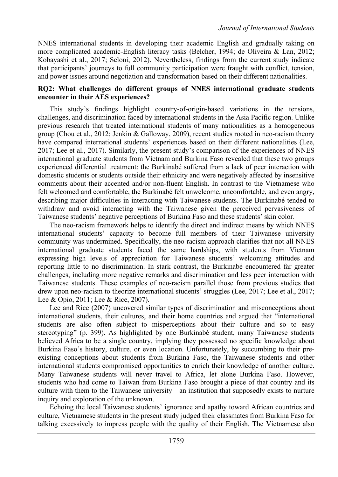NNES international students in developing their academic English and gradually taking on more complicated academic-English literacy tasks (Belcher, 1994; de Oliveira & Lan, 2012; Kobayashi et al., 2017; Seloni, 2012). Nevertheless, findings from the current study indicate that participants' journeys to full community participation were fraught with conflict, tension, and power issues around negotiation and transformation based on their different nationalities.

#### **RQ2: What challenges do different groups of NNES international graduate students encounter in their AES experiences?**

This study's findings highlight country-of-origin-based variations in the tensions, challenges, and discrimination faced by international students in the Asia Pacific region. Unlike previous research that treated international students of many nationalities as a homogeneous group (Chou et al., 2012; Jenkin & Galloway, 2009), recent studies rooted in neo-racism theory have compared international students' experiences based on their different nationalities (Lee, 2017; Lee et al., 2017). Similarly, the present study's comparison of the experiences of NNES international graduate students from Vietnam and Burkina Faso revealed that these two groups experienced differential treatment: the Burkinabé suffered from a lack of peer interaction with domestic students or students outside their ethnicity and were negatively affected by insensitive comments about their accented and/or non-fluent English. In contrast to the Vietnamese who felt welcomed and comfortable, the Burkinabé felt unwelcome, uncomfortable, and even angry, describing major difficulties in interacting with Taiwanese students. The Burkinabé tended to withdraw and avoid interacting with the Taiwanese given the perceived pervasiveness of Taiwanese students' negative perceptions of Burkina Faso and these students' skin color.

The neo-racism framework helps to identify the direct and indirect means by which NNES international students' capacity to become full members of their Taiwanese university community was undermined. Specifically, the neo-racism approach clarifies that not all NNES international graduate students faced the same hardships, with students from Vietnam expressing high levels of appreciation for Taiwanese students' welcoming attitudes and reporting little to no discrimination. In stark contrast, the Burkinabé encountered far greater challenges, including more negative remarks and discrimination and less peer interaction with Taiwanese students. These examples of neo-racism parallel those from previous studies that drew upon neo-racism to theorize international students' struggles (Lee, 2017; Lee et al., 2017; Lee & Opio, 2011; Lee & Rice, 2007).

Lee and Rice (2007) uncovered similar types of discrimination and misconceptions about international students, their cultures, and their home countries and argued that "international students are also often subject to misperceptions about their culture and so to easy stereotyping" (p. 399). As highlighted by one Burkinabé student, many Taiwanese students believed Africa to be a single country, implying they possessed no specific knowledge about Burkina Faso's history, culture, or even location. Unfortunately, by succumbing to their preexisting conceptions about students from Burkina Faso, the Taiwanese students and other international students compromised opportunities to enrich their knowledge of another culture. Many Taiwanese students will never travel to Africa, let alone Burkina Faso. However, students who had come to Taiwan from Burkina Faso brought a piece of that country and its culture with them to the Taiwanese university—an institution that supposedly exists to nurture inquiry and exploration of the unknown.

Echoing the local Taiwanese students' ignorance and apathy toward African countries and culture, Vietnamese students in the present study judged their classmates from Burkina Faso for talking excessively to impress people with the quality of their English. The Vietnamese also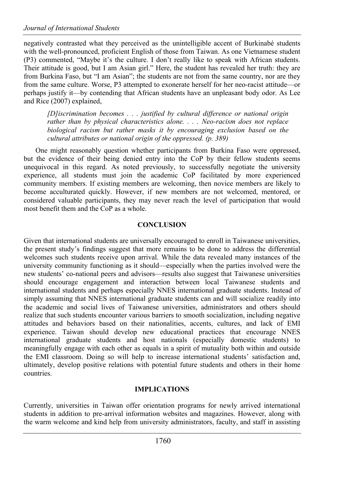negatively contrasted what they perceived as the unintelligible accent of Burkinabé students with the well-pronounced, proficient English of those from Taiwan. As one Vietnamese student (P3) commented, "Maybe it's the culture. I don't really like to speak with African students. Their attitude is good, but I am Asian girl." Here, the student has revealed her truth: they are from Burkina Faso, but "I am Asian"; the students are not from the same country, nor are they from the same culture. Worse, P3 attempted to exonerate herself for her neo-racist attitude—or perhaps justify it—by contending that African students have an unpleasant body odor. As Lee and Rice (2007) explained,

*[D]iscrimination becomes . . . justified by cultural difference or national origin rather than by physical characteristics alone. . . . Neo-racism does not replace biological racism but rather masks it by encouraging exclusion based on the cultural attributes or national origin of the oppressed. (p. 389)*

One might reasonably question whether participants from Burkina Faso were oppressed, but the evidence of their being denied entry into the CoP by their fellow students seems unequivocal in this regard. As noted previously, to successfully negotiate the university experience, all students must join the academic CoP facilitated by more experienced community members. If existing members are welcoming, then novice members are likely to become acculturated quickly. However, if new members are not welcomed, mentored, or considered valuable participants, they may never reach the level of participation that would most benefit them and the CoP as a whole.

# **CONCLUSION**

Given that international students are universally encouraged to enroll in Taiwanese universities, the present study's findings suggest that more remains to be done to address the differential welcomes such students receive upon arrival. While the data revealed many instances of the university community functioning as it should—especially when the parties involved were the new students' co-national peers and advisors—results also suggest that Taiwanese universities should encourage engagement and interaction between local Taiwanese students and international students and perhaps especially NNES international graduate students. Instead of simply assuming that NNES international graduate students can and will socialize readily into the academic and social lives of Taiwanese universities, administrators and others should realize that such students encounter various barriers to smooth socialization, including negative attitudes and behaviors based on their nationalities, accents, cultures, and lack of EMI experience. Taiwan should develop new educational practices that encourage NNES international graduate students and host nationals (especially domestic students) to meaningfully engage with each other as equals in a spirit of mutuality both within and outside the EMI classroom. Doing so will help to increase international students' satisfaction and, ultimately, develop positive relations with potential future students and others in their home countries.

### **IMPLICATIONS**

Currently, universities in Taiwan offer orientation programs for newly arrived international students in addition to pre-arrival information websites and magazines. However, along with the warm welcome and kind help from university administrators, faculty, and staff in assisting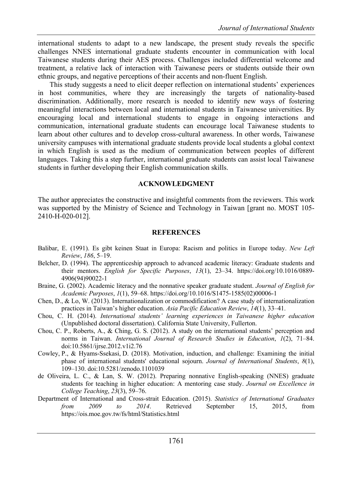international students to adapt to a new landscape, the present study reveals the specific challenges NNES international graduate students encounter in communication with local Taiwanese students during their AES process. Challenges included differential welcome and treatment, a relative lack of interaction with Taiwanese peers or students outside their own ethnic groups, and negative perceptions of their accents and non-fluent English.

This study suggests a need to elicit deeper reflection on international students' experiences in host communities, where they are increasingly the targets of nationality-based discrimination. Additionally, more research is needed to identify new ways of fostering meaningful interactions between local and international students in Taiwanese universities. By encouraging local and international students to engage in ongoing interactions and communication, international graduate students can encourage local Taiwanese students to learn about other cultures and to develop cross-cultural awareness. In other words, Taiwanese university campuses with international graduate students provide local students a global context in which English is used as the medium of communication between peoples of different languages. Taking this a step further, international graduate students can assist local Taiwanese students in further developing their English communication skills.

#### **ACKNOWLEDGMENT**

The author appreciates the constructive and insightful comments from the reviewers. This work was supported by the Ministry of Science and Technology in Taiwan [grant no. MOST 105- 2410-H-020-012].

#### **REFERENCES**

- Balibar, E. (1991). Es gibt keinen Staat in Europa: Racism and politics in Europe today. *New Left Review*, *186*, 5–19.
- Belcher, D. (1994). The apprenticeship approach to advanced academic literacy: Graduate students and their mentors. *English for Specific Purposes*, *13*(1), 23–34. https://doi.org/10.1016/0889- 4906(94)90022-1
- Braine, G. (2002). Academic literacy and the nonnative speaker graduate student. *Journal of English for Academic Purposes*, *1*(1), 59–68. https://doi.org/10.1016/S1475-1585(02)00006-1
- Chen, D., & Lo, W. (2013). Internationalization or commodification? A case study of internationalization practices in Taiwan's higher education. *Asia Pacific Education Review*, *14*(1), 33–41.
- Chou, C. H. (2014). *International students' learning experiences in Taiwanese higher education* (Unpublished doctoral dissertation). California State University, Fullerton.
- Chou, C. P., Roberts, A., & Ching, G. S. (2012). A study on the international students' perception and norms in Taiwan. *International Journal of Research Studies in Education*, *1*(2), 71–84. doi:10.5861/ijrse.2012.v1i2.76
- Cowley, P., & Hyams-Ssekasi, D. (2018). Motivation, induction, and challenge: Examining the initial phase of international students' educational sojourn. *Journal of International Students*, *8*(1), 109–130. doi:10.5281/zenodo.1101039
- de Oliveira, L. C., & Lan, S. W. (2012). Preparing nonnative English-speaking (NNES) graduate students for teaching in higher education: A mentoring case study. *Journal on Excellence in College Teaching*, *23*(3), 59–76.
- Department of International and Cross-strait Education. (2015). *Statistics of International Graduates from 2009 to 2014*. Retrieved September 15, 2015, from https://ois.moe.gov.tw/fs/html/Statistics.html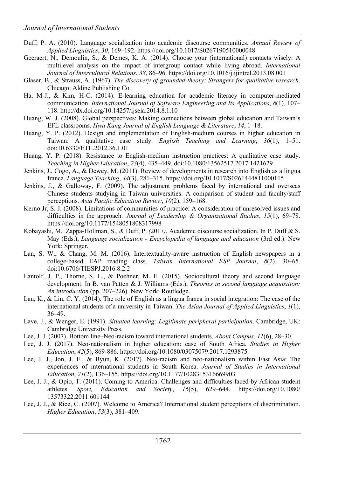- Duff, P. A. (2010). Language socialization into academic discourse communities. *Annual Review of Applied Linguistics*, *30*, 169–192. https://doi.org/10.1017/S0267190510000048
- Geeraert, N., Demoulin, S., & Demes, K. A. (2014). Choose your (international) contacts wisely: A multilevel analysis on the impact of intergroup contact while living abroad. *International Journal of Intercultural Relations*, *38*, 86–96. https://doi.org/10.1016/j.ijintrel.2013.08.001
- Glaser, B., & Strauss, A. (1967). *The discovery of grounded theory: Strangers for qualitative research*. Chicago: Aldine Publishing Co.
- Ha, M-J., & Kim, H-C. (2014). E-learning education for academic literacy in computer-mediated communication. *International Journal of Software Engineering and Its Applications*, *8*(1), 107– 118. http://dx.doi.org/10.14257/ijseia.2014.8.1.10
- Huang, W. J. (2008). Global perspectives: Making connections between global education and Taiwan's EFL classrooms. *Hwa Kang Journal of English Language & Literature*, *14*, 1–18.
- Huang, Y. P. (2012). Design and implementation of English-medium courses in higher education in Taiwan: A qualitative case study. *English Teaching and Learning*, *36*(1), 1–51. doi:10.6330/ETL.2012.36.1.01
- Huang, Y. P. (2018). Resistance to English-medium instruction practices: A qualitative case study. *Teaching in Higher Education*, *23*(4), 435–449. doi:10.1080/13562517.2017.1421629
- Jenkins, J., Cogo, A., & Dewey, M. (2011). Review of developments in research into English as a lingua franca. *Language Teaching*, *44*(3), 281–315. https://doi.org/10.1017/S0261444811000115
- Jenkins, J., & Galloway, F. (2009). The adjustment problems faced by international and overseas Chinese students studying in Taiwan universities: A comparison of student and faculty/staff perceptions. *Asia Pacific Education Review*, *10*(2), 159–168.
- Kerno Jr, S. J. (2008). Limitations of communities of practice: A consideration of unresolved issues and difficulties in the approach. *Journal of Leadership & Organizational Studies*, *15*(1), 69–78. https://doi.org/10.1177/1548051808317998
- Kobayashi, M.*,* Zappa-Hollman, S.*, &* Duff, P. *(*2017*).* Academic discourse socialization. In P. Duff & S. May (Eds.), *Language socialization - Encyclopedia of language and education* (3rd ed.). New York: Springer.
- Lan, S. W., & Chang, M. M. (2016). Intertextuality-aware instruction of English newspapers in a college-based EAP reading class. *Taiwan International ESP Journal*, *8*(2), 30–65. doi:10.6706/TIESPJ.2016.8.2.2
- Lantolf, J. P., Thorne, S. L., & Poehner, M. E. (2015). Sociocultural theory and second language development. In B. van Patten & J. Williams (Eds.), *Theories in second language acquisition: An introduction* (pp. 207–226). New York: Routledge.
- Lau, K., & Lin, C. Y. (2014). The role of English as a lingua franca in social integration: The case of the international students of a university in Taiwan. *The Asian Journal of Applied Linguistics*, *1*(1), 36–49.
- Lave, J., & Wenger, E. (1991). *Situated learning: Legitimate peripheral participation*. Cambridge, UK: Cambridge University Press.
- Lee, J. J. (2007). Bottom line–Neo-racism toward international students. *About Campus*, *11*(6), 28–30.
- Lee, J. J. (2017). Neo-nationalism in higher education: case of South Africa. *Studies in Higher Education*, *42*(5), 869-886. https://doi.org/10.1080/03075079.2017.1293875
- Lee, J. J., Jon, J. E., & Byun, K. (2017). Neo-racism and neo-nationalism within East Asia: The experiences of international students in South Korea. *Journal of Studies in International Education*, *21*(2), 136–155. https://doi.org/10.1177/1028315316669903
- Lee, J. J., & Opio, T. (2011). Coming to America: Challenges and difficulties faced by African student athletes. *Sport, Education and Society*, *16*(5), 629–644. https://doi.org/10.1080/ 13573322.2011.601144
- Lee, J. J., & Rice, C. (2007). Welcome to America? International student perceptions of discrimination. *Higher Education*, *53*(3), 381–409.